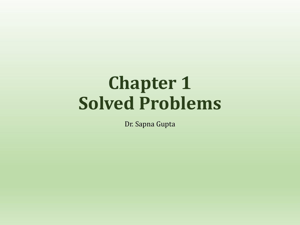# **Chapter 1 Solved Problems**

Dr. Sapna Gupta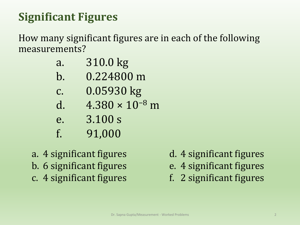## **Significant Figures**

How many significant figures are in each of the following measurements?

- a. 310.0 kg
- b. 0.224800 m
- c. 0.05930 kg
- d.  $4.380 \times 10^{-8}$  m
- e. 3.100 s
- f. 91,000
- a. 4 significant figures b. 6 significant figures c. 4 significant figures
- d. 4 significant figures
- e. 4 significant figures
- f. 2 significant figures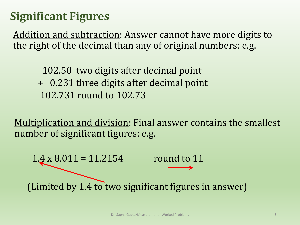## **Significant Figures**

Addition and subtraction: Answer cannot have more digits to the right of the decimal than any of original numbers: e.g.

102.50 two digits after decimal point + 0.231 three digits after decimal point 102.731 round to 102.73

Multiplication and division: Final answer contains the smallest number of significant figures: e.g.

1.4 x 8.011 = 11.2154 round to 11 (Limited by  $1.4$  to two significant figures in answer)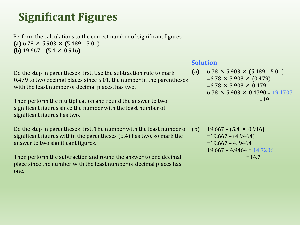## **Significant Figures**

Perform the calculations to the correct number of significant figures. **(a)** 6.78 × 5.903 × (5.489 – 5.01) **(b)** 19.667 –  $(5.4 \times 0.916)$ 

Do the step in parentheses first. Use the subtraction rule to mark 0.479 to two decimal places since 5.01, the number in the parentheses with the least number of decimal places, has two.

Then perform the multiplication and round the answer to two significant figures since the number with the least number of significant figures has two.

Do the step in parentheses first. The number with the least number of (b) significant figures within the parentheses (5.4) has two, so mark the answer to two significant figures.

Then perform the subtraction and round the answer to one decimal place since the number with the least number of decimal places has one.

#### **Solution**

(a)  $6.78 \times 5.903 \times (5.489 - 5.01)$  $=6.78 \times 5.903 \times (0.479)$  $=6.78 \times 5.903 \times 0.479$  $6.78 \times 5.903 \times 0.4790 = 19.1707$  $=19$ 

 $19.667 - (5.4 \times 0.916)$  $=19.667 - (4.9464)$  $=19.667 - 4.9464$  $19.667 - 4.9464 = 14.7206$  $=14.7$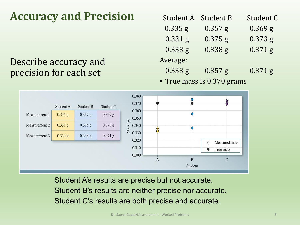## **Accuracy and Precision**

### Describe accuracy and precision for each set

| Student A | <b>Student B</b> | Student C |
|-----------|------------------|-----------|
| 0.335 g   | $0.357$ g        | $0.369$ g |
| $0.331$ g | $0.375$ g        | $0.373$ g |
| $0.333$ g | 0.338 g          | $0.371$ g |
| Average:  |                  |           |
| $0.333$ g | $0.357$ g        | $0.371$ g |
|           |                  |           |

• True mass is 0.370 grams



Student A's results are precise but not accurate. Student B's results are neither precise nor accurate. Student C's results are both precise and accurate.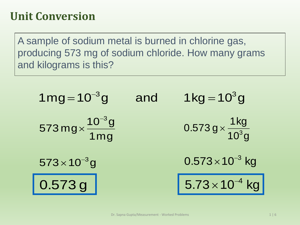A sample of sodium metal is burned in chlorine gas, producing 573 mg of sodium chloride. How many grams and kilograms is this?

| $1mg = 10^{-3}g$                     | and | $1 \text{kg} = 10^3 \text{g}$                |
|--------------------------------------|-----|----------------------------------------------|
| $573 mg \times \frac{10^{-3}g}{1mg}$ |     | $0.573 g \times \frac{1 \text{ kg}}{10^3 g}$ |
| $573 \times 10^{-3}$ g               |     | $0.573 \times 10^{-3}$ kg                    |
| 0.573g                               |     | $5.73 \times 10^{-4}$ kg                     |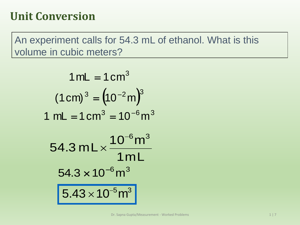An experiment calls for 54.3 mL of ethanol. What is this volume in cubic meters?

$$
1 mL = 1 cm3
$$
  
\n
$$
(1 cm)3 = (10-2 m)3
$$
  
\n
$$
1 mL = 1 cm3 = 10-6 m3
$$
  
\n
$$
54.3 mL \times \frac{10-6 m3}{1 mL}
$$
  
\n
$$
54.3 \times 10-6 m3
$$
  
\n
$$
5.43 \times 10-5 m3
$$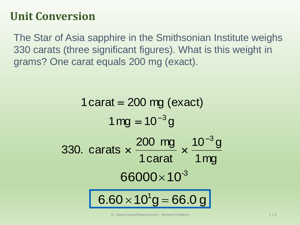The Star of Asia sapphire in the Smithsonian Institute weighs 330 carats (three significant figures). What is this weight in grams? One carat equals 200 mg (exact).

```
1 \text{ mg} = 10^{-3} \text{ g}1 carat = 200 mg (exact)
                                                      1mg
                                                     10^{-3} g
                               1carat
330. carats \times \frac{200 \text{ mg}}{10^{3} \text{ yr}} \times \frac{10^{-3} \text{ yr}}{10^{3} \text{ yr}}x \frac{200 \text{ mg}}{1 \text{ x}}6.60 \times 10^{1}g = 66.0 g
                       66000\times10^{-3}
```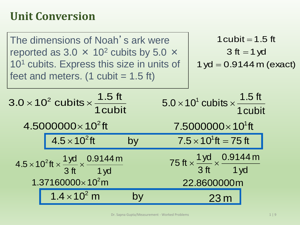| The dimensions of Noah's ark were<br>reported as 3.0 $\times$ 10 <sup>2</sup> cubits by 5.0 $\times$<br>10 <sup>1</sup> cubits. Express this size in units of<br>feet and meters. $(1 \text{ cubic} = 1.5 \text{ ft})$ |                                                                                                                                           |    | 1 cubit = $1.5$ ft<br>$3$ ft = 1 yd<br>$1 yd = 0.9144 m (exact)$         |                                                                                                              |     |  |
|------------------------------------------------------------------------------------------------------------------------------------------------------------------------------------------------------------------------|-------------------------------------------------------------------------------------------------------------------------------------------|----|--------------------------------------------------------------------------|--------------------------------------------------------------------------------------------------------------|-----|--|
|                                                                                                                                                                                                                        | $3.0 \times 10^2$ cubits $\times \frac{1.5 \text{ ft}}{1 \text{ cubic}}$                                                                  |    | $5.0 \times 10^1$ cubits $\times \frac{1.5 \text{ ft}}{1 \text{ cubic}}$ |                                                                                                              |     |  |
|                                                                                                                                                                                                                        | $4.5000000 \times 10^{2}$ ft                                                                                                              |    |                                                                          | $7.5000000\times10^{1}$ ft                                                                                   |     |  |
|                                                                                                                                                                                                                        | $\vert 4.5 \times 10^{2}$ ft                                                                                                              | by |                                                                          | $7.5 \times 10^1$ ft = 75 ft                                                                                 |     |  |
|                                                                                                                                                                                                                        | $4.5 \times 10^2$ ft $\times \frac{1 \text{ yd}}{3 \text{ ft}} \times \frac{0.9144 \text{ m}}{1 \text{ yd}}$<br>$1.37160000\times10^{2}m$ |    |                                                                          | 75 ft $\times \frac{1 \text{ yd}}{3 \text{ ft}} \times \frac{0.9144 \text{ m}}{1 \text{ yd}}$<br>22.8600000m |     |  |
|                                                                                                                                                                                                                        | $1.4 \times 10^2$ m                                                                                                                       | by |                                                                          |                                                                                                              | 23m |  |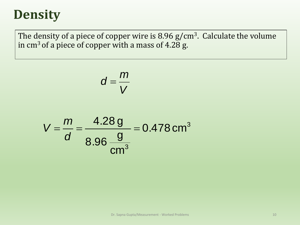## **Density**

The density of a piece of copper wire is  $8.96$  g/cm<sup>3</sup>. Calculate the volume in  $cm<sup>3</sup>$  of a piece of copper with a mass of 4.28 g.

$$
d=\frac{m}{V}
$$

$$
V = \frac{m}{d} = \frac{4.28 \text{ g}}{8.96 \frac{\text{g}}{\text{cm}^3}} = 0.478 \text{ cm}^3
$$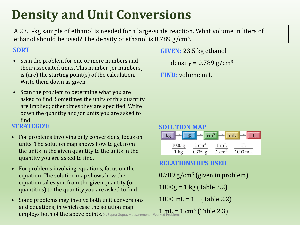## **Density and Unit Conversions**

A 23.5-kg sample of ethanol is needed for a large-scale reaction. What volume in liters of ethanol should be used? The density of ethanol is 0.789 g/cm<sup>3</sup>.

#### **SORT**

- Scan the problem for one or more numbers and their associated units. This number (or numbers) is (are) the starting point(s) of the calculation. Write them down as given.
- Scan the problem to determine what you are asked to find. Sometimes the units of this quantity are implied; other times they are specified. Write down the quantity and/or units you are asked to find.

#### **STRATEGIZE**

- For problems involving only conversions, focus on units. The solution map shows how to get from the units in the given quantity to the units in the quantity you are asked to find.
- For problems involving equations, focus on the equation. The solution map shows how the equation takes you from the given quantity (or quantities) to the quantity you are asked to find.
- Some problems may involve both unit conversions and equations, in which case the solution map employs both of the above points. Dr. Sapna Gupta/Measurement - Worked Problems

**GIVEN:** 23.5 kg ethanol

density =  $0.789$  g/cm<sup>3</sup>

**FIND:** volume in L



#### **RELATIONSHIPS USED**

 $0.789$  g/cm<sup>3</sup> (given in problem)  $1000g = 1$  kg (Table 2.2) 1000 mL = 1 L (Table 2.2)  $1 \text{ mL} = 1 \text{ cm}^3 \text{ (Table 2.3)}$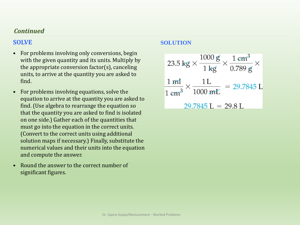#### *Continued*

#### **SOLVE**

- For problems involving only conversions, begin with the given quantity and its units. Multiply by the appropriate conversion factor(s), canceling units, to arrive at the quantity you are asked to find.
- For problems involving equations, solve the equation to arrive at the quantity you are asked to find. (Use algebra to rearrange the equation so that the quantity you are asked to find is isolated on one side.) Gather each of the quantities that must go into the equation in the correct units. (Convert to the correct units using additional solution maps if necessary.) Finally, substitute the numerical values and their units into the equation and compute the answer.
- Round the answer to the correct number of significant figures.

#### **SOLUTION**

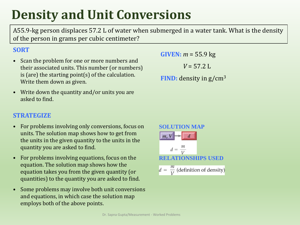## **Density and Unit Conversions**

A55.9-kg person displaces 57.2 L of water when submerged in a water tank. What is the density of the person in grams per cubic centimeter?

#### **SORT**

- Scan the problem for one or more numbers and their associated units. This number (or numbers) is (are) the starting point(s) of the calculation. Write them down as given.
- Write down the quantity and/or units you are asked to find.

**GIVEN:** *m* = 55.9 kg

 $V = 57.2$  L

**FIND:** density in g/cm<sup>3</sup>

#### **STRATEGIZE**

- For problems involving only conversions, focus on units. The solution map shows how to get from the units in the given quantity to the units in the quantity you are asked to find.
- For problems involving equations, focus on the equation. The solution map shows how the equation takes you from the given quantity (or quantities) to the quantity you are asked to find.
- Some problems may involve both unit conversions and equations, in which case the solution map employs both of the above points.

**SOLUTION MAP**  
\n
$$
m, V \rightarrow d
$$
  
\n $d = \frac{m}{V}$   
\n**RELATIONSHIPS USED**  
\n $d = \frac{m}{V}$  (definition of density)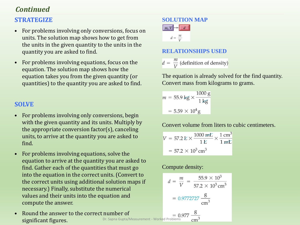#### *Continued*

#### **STRATEGIZE**

- For problems involving only conversions, focus on units. The solution map shows how to get from the units in the given quantity to the units in the quantity you are asked to find.
- For problems involving equations, focus on the equation. The solution map shows how the equation takes you from the given quantity (or quantities) to the quantity you are asked to find.

#### **SOLVE**

- For problems involving only conversions, begin with the given quantity and its units. Multiply by the appropriate conversion factor(s), canceling units, to arrive at the quantity you are asked to find.
- For problems involving equations, solve the equation to arrive at the quantity you are asked to find. Gather each of the quantities that must go into the equation in the correct units. (Convert to the correct units using additional solution maps if necessary.) Finally, substitute the numerical values and their units into the equation and compute the answer.
- Round the answer to the correct number of significant figures. Dr. Sapna Gupta/Measurement - Worked Problems



#### **RELATIONSHIPS USED**

 $d = \frac{m}{V}$  (definition of density)

The equation is already solved for the find quantity. Convert mass from kilograms to grams.

$$
m = 55.9 \text{ kg} \times \frac{1000 \text{ g}}{1 \text{ kg}}
$$

$$
= 5.59 \times 10^4 \text{ g}
$$

Convert volume from liters to cubic centimeters.

$$
V = 57.2 \, \text{L} \times \frac{1000 \, \text{mL}}{1 \, \text{L}} \times \frac{1 \, \text{cm}^3}{1 \, \text{mL}}
$$
\n
$$
= 57.2 \times 10^3 \, \text{cm}^3
$$

Compute density:

$$
d = \frac{m}{V} = \frac{55.9 \times 10^3}{57.2 \times 10^3 \text{ cm}^3}
$$

$$
= 0.9772727 \frac{\text{g}}{\text{cm}^3}
$$

$$
= 0.977 \frac{\text{g}}{\text{cm}^3}
$$